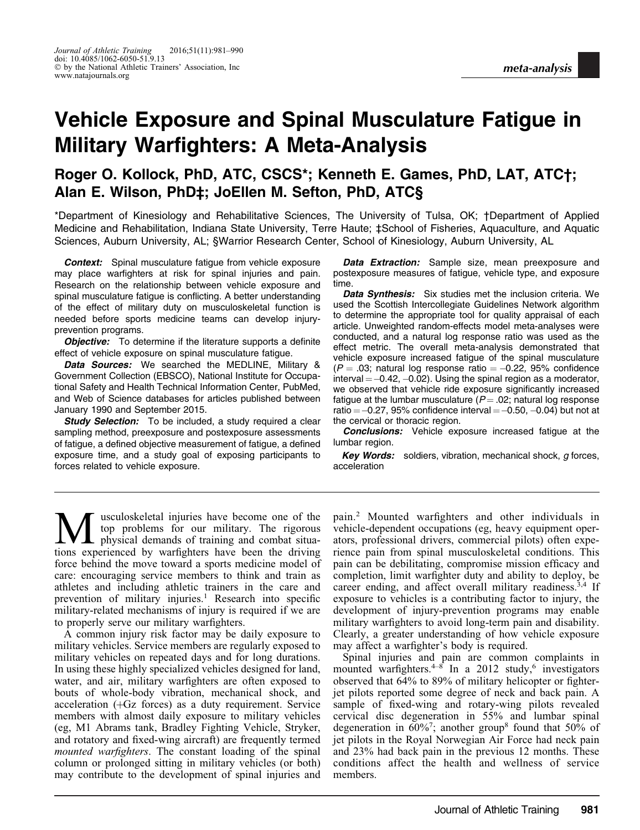# Vehicle Exposure and Spinal Musculature Fatigue in Military Warfighters: A Meta-Analysis

# Roger O. Kollock, PhD, ATC, CSCS\*; Kenneth E. Games, PhD, LAT, ATC†; Alan E. Wilson, PhD‡; JoEllen M. Sefton, PhD, ATC§

\*Department of Kinesiology and Rehabilitative Sciences, The University of Tulsa, OK; †Department of Applied Medicine and Rehabilitation, Indiana State University, Terre Haute; ‡School of Fisheries, Aquaculture, and Aquatic Sciences, Auburn University, AL; §Warrior Research Center, School of Kinesiology, Auburn University, AL

**Context:** Spinal musculature fatique from vehicle exposure may place warfighters at risk for spinal injuries and pain. Research on the relationship between vehicle exposure and spinal musculature fatigue is conflicting. A better understanding of the effect of military duty on musculoskeletal function is needed before sports medicine teams can develop injuryprevention programs.

**Objective:** To determine if the literature supports a definite effect of vehicle exposure on spinal musculature fatigue.

Data Sources: We searched the MEDLINE, Military & Government Collection (EBSCO), National Institute for Occupational Safety and Health Technical Information Center, PubMed, and Web of Science databases for articles published between January 1990 and September 2015.

Study Selection: To be included, a study required a clear sampling method, preexposure and postexposure assessments of fatigue, a defined objective measurement of fatigue, a defined exposure time, and a study goal of exposing participants to forces related to vehicle exposure.

Data Extraction: Sample size, mean preexposure and postexposure measures of fatigue, vehicle type, and exposure time.

Data Synthesis: Six studies met the inclusion criteria. We used the Scottish Intercollegiate Guidelines Network algorithm to determine the appropriate tool for quality appraisal of each article. Unweighted random-effects model meta-analyses were conducted, and a natural log response ratio was used as the effect metric. The overall meta-analysis demonstrated that vehicle exposure increased fatigue of the spinal musculature  $(P = .03;$  natural log response ratio  $= -0.22,~95\%$  confidence interval  $=-0.42, -0.02$ ). Using the spinal region as a moderator, we observed that vehicle ride exposure significantly increased fatigue at the lumbar musculature  $(P = .02)$ ; natural log response ratio  $=-0.27$ , 95% confidence interval  $=-0.50, -0.04$ ) but not at the cervical or thoracic region.

**Conclusions:** Vehicle exposure increased fatigue at the lumbar region.

Key Words: soldiers, vibration, mechanical shock, g forces, acceleration

usculoskeletal injuries have become one of the top problems for our military. The rigorous physical demands of training and combat situations experienced by warfighters have been the driving force behind the move toward a sports medicine model of care: encouraging service members to think and train as athletes and including athletic trainers in the care and prevention of military injuries.<sup>1</sup> Research into specific military-related mechanisms of injury is required if we are to properly serve our military warfighters.

A common injury risk factor may be daily exposure to military vehicles. Service members are regularly exposed to military vehicles on repeated days and for long durations. In using these highly specialized vehicles designed for land, water, and air, military warfighters are often exposed to bouts of whole-body vibration, mechanical shock, and acceleration  $(HGz)$  forces) as a duty requirement. Service members with almost daily exposure to military vehicles (eg, M1 Abrams tank, Bradley Fighting Vehicle, Stryker, and rotatory and fixed-wing aircraft) are frequently termed mounted warfighters. The constant loading of the spinal column or prolonged sitting in military vehicles (or both) may contribute to the development of spinal injuries and

pain.<sup>2</sup> Mounted warfighters and other individuals in vehicle-dependent occupations (eg, heavy equipment operators, professional drivers, commercial pilots) often experience pain from spinal musculoskeletal conditions. This pain can be debilitating, compromise mission efficacy and completion, limit warfighter duty and ability to deploy, be career ending, and affect overall military readiness.<sup>3,4</sup> If exposure to vehicles is a contributing factor to injury, the development of injury-prevention programs may enable military warfighters to avoid long-term pain and disability. Clearly, a greater understanding of how vehicle exposure may affect a warfighter's body is required.

Spinal injuries and pain are common complaints in mounted warfighters. $4\frac{8}{5}$  In a 2012 study,<sup>6</sup> investigators observed that 64% to 89% of military helicopter or fighterjet pilots reported some degree of neck and back pain. A sample of fixed-wing and rotary-wing pilots revealed cervical disc degeneration in 55% and lumbar spinal degeneration in  $60\frac{1}{7}$ ; another group<sup>8</sup> found that 50% of jet pilots in the Royal Norwegian Air Force had neck pain and 23% had back pain in the previous 12 months. These conditions affect the health and wellness of service members.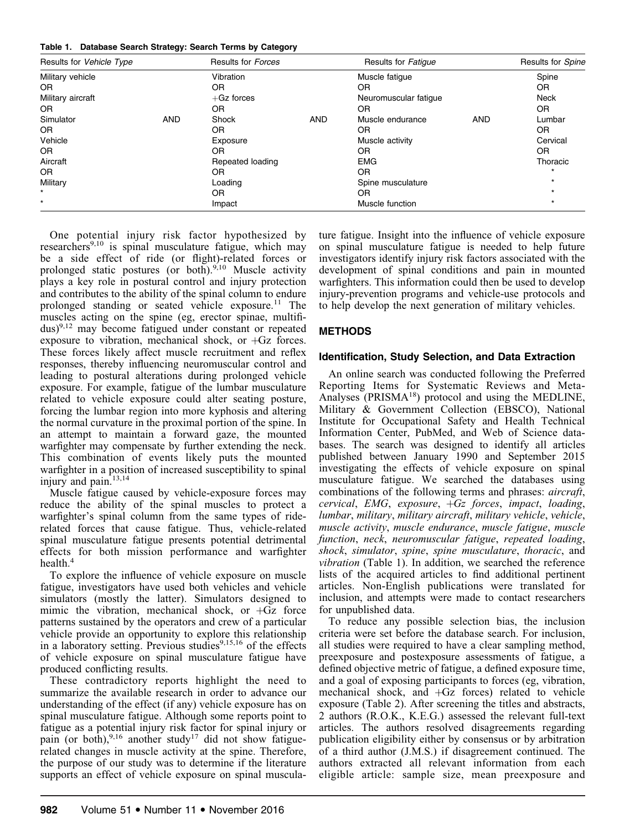|  | Table 1. Database Search Strategy: Search Terms by Category |  |  |  |  |  |  |
|--|-------------------------------------------------------------|--|--|--|--|--|--|
|--|-------------------------------------------------------------|--|--|--|--|--|--|

| Results for Vehicle Type |            | Results for Forces |            | Results for Fatigue   |            | Results for Spine |
|--------------------------|------------|--------------------|------------|-----------------------|------------|-------------------|
| Military vehicle         |            | Vibration          |            | Muscle fatique        |            | Spine             |
| <b>OR</b>                |            | 0R                 |            | <b>OR</b>             |            | 0R                |
| Military aircraft        |            | $+Gz$ forces       |            | Neuromuscular fatique |            | Neck              |
| OR.                      |            | 0R                 |            | <b>OR</b>             |            | 0R                |
| Simulator                | <b>AND</b> | Shock              | <b>AND</b> | Muscle endurance      | <b>AND</b> | Lumbar            |
| OR.                      |            | 0R                 |            | OR                    |            | 0R                |
| Vehicle                  |            | Exposure           |            | Muscle activity       |            | Cervical          |
| OR.                      |            | 0R                 |            | OR                    |            | 0R                |
| Aircraft                 |            | Repeated loading   |            | <b>EMG</b>            |            | Thoracic          |
| OR.                      |            | 0R                 |            | <b>OR</b>             |            |                   |
| Military                 |            | Loading            |            | Spine musculature     |            | $\star$           |
| $\star$                  |            | 0R                 |            | OR                    |            |                   |
| $\star$                  |            | Impact             |            | Muscle function       |            | $\star$           |

One potential injury risk factor hypothesized by researchers<sup>9,10</sup> is spinal musculature fatigue, which may be a side effect of ride (or flight)-related forces or prolonged static postures (or both).<sup>9,10</sup> Muscle activity plays a key role in postural control and injury protection and contributes to the ability of the spinal column to endure prolonged standing or seated vehicle exposure.<sup>11</sup> The muscles acting on the spine (eg, erector spinae, multifidus)9,12 may become fatigued under constant or repeated exposure to vibration, mechanical shock, or  $+Gz$  forces. These forces likely affect muscle recruitment and reflex responses, thereby influencing neuromuscular control and leading to postural alterations during prolonged vehicle exposure. For example, fatigue of the lumbar musculature related to vehicle exposure could alter seating posture, forcing the lumbar region into more kyphosis and altering the normal curvature in the proximal portion of the spine. In an attempt to maintain a forward gaze, the mounted warfighter may compensate by further extending the neck. This combination of events likely puts the mounted warfighter in a position of increased susceptibility to spinal injury and pain.13,14

Muscle fatigue caused by vehicle-exposure forces may reduce the ability of the spinal muscles to protect a warfighter's spinal column from the same types of riderelated forces that cause fatigue. Thus, vehicle-related spinal musculature fatigue presents potential detrimental effects for both mission performance and warfighter health.4

To explore the influence of vehicle exposure on muscle fatigue, investigators have used both vehicles and vehicle simulators (mostly the latter). Simulators designed to mimic the vibration, mechanical shock, or  $+Gz$  force patterns sustained by the operators and crew of a particular vehicle provide an opportunity to explore this relationship in a laboratory setting. Previous studies $9,15,16$  of the effects of vehicle exposure on spinal musculature fatigue have produced conflicting results.

These contradictory reports highlight the need to summarize the available research in order to advance our understanding of the effect (if any) vehicle exposure has on spinal musculature fatigue. Although some reports point to fatigue as a potential injury risk factor for spinal injury or pain (or both), $9,16$  another study<sup>17</sup> did not show fatiguerelated changes in muscle activity at the spine. Therefore, the purpose of our study was to determine if the literature supports an effect of vehicle exposure on spinal musculature fatigue. Insight into the influence of vehicle exposure on spinal musculature fatigue is needed to help future investigators identify injury risk factors associated with the development of spinal conditions and pain in mounted warfighters. This information could then be used to develop injury-prevention programs and vehicle-use protocols and to help develop the next generation of military vehicles.

# METHODS

# Identification, Study Selection, and Data Extraction

An online search was conducted following the Preferred Reporting Items for Systematic Reviews and Meta-Analyses (PRISMA<sup>18</sup>) protocol and using the MEDLINE, Military & Government Collection (EBSCO), National Institute for Occupational Safety and Health Technical Information Center, PubMed, and Web of Science databases. The search was designed to identify all articles published between January 1990 and September 2015 investigating the effects of vehicle exposure on spinal musculature fatigue. We searched the databases using combinations of the following terms and phrases: *aircraft*, cervical, EMG, exposure,  $+Gz$  forces, impact, loading, lumbar, military, military aircraft, military vehicle, vehicle, muscle activity, muscle endurance, muscle fatigue, muscle function, neck, neuromuscular fatigue, repeated loading, shock, simulator, spine, spine musculature, thoracic, and vibration (Table 1). In addition, we searched the reference lists of the acquired articles to find additional pertinent articles. Non-English publications were translated for inclusion, and attempts were made to contact researchers for unpublished data.

To reduce any possible selection bias, the inclusion criteria were set before the database search. For inclusion, all studies were required to have a clear sampling method, preexposure and postexposure assessments of fatigue, a defined objective metric of fatigue, a defined exposure time, and a goal of exposing participants to forces (eg, vibration, mechanical shock, and  $+Gz$  forces) related to vehicle exposure (Table 2). After screening the titles and abstracts, 2 authors (R.O.K., K.E.G.) assessed the relevant full-text articles. The authors resolved disagreements regarding publication eligibility either by consensus or by arbitration of a third author (J.M.S.) if disagreement continued. The authors extracted all relevant information from each eligible article: sample size, mean preexposure and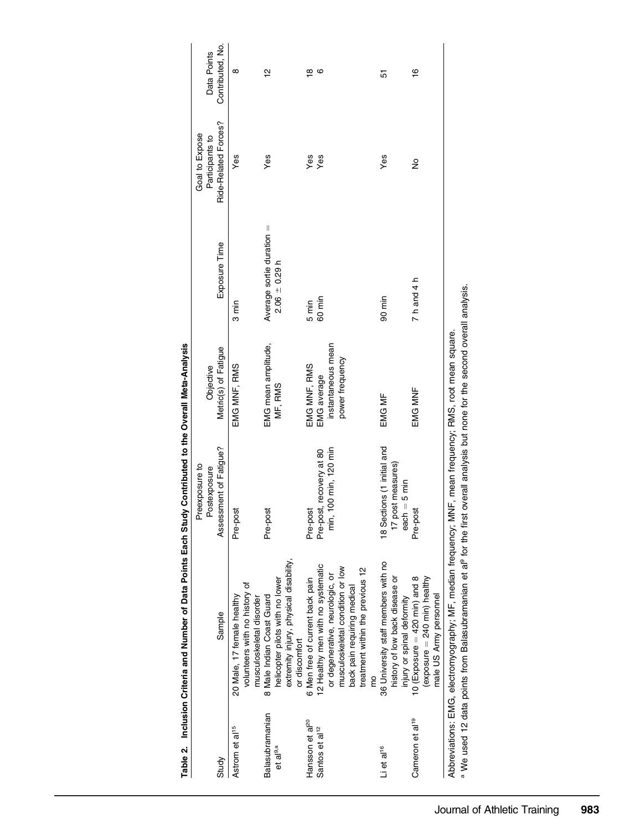|                                                           |                                                                                                                                                                                                                                                      | Preexposure to<br>Postexposure                                    | Objective                             |                                                | Goal to Expose<br>Participants to | Data Points        |
|-----------------------------------------------------------|------------------------------------------------------------------------------------------------------------------------------------------------------------------------------------------------------------------------------------------------------|-------------------------------------------------------------------|---------------------------------------|------------------------------------------------|-----------------------------------|--------------------|
| Study                                                     | Sample                                                                                                                                                                                                                                               | Assessment of Fatigue?                                            | Metric(s) of Fatigue                  | Exposure Time                                  | Ride-Related Forces?              | Contributed, No.   |
| Astrom et al <sup>15</sup>                                | volunteers with no history of<br>20 Male, 17 female healthy<br>musculoskeletal disorder                                                                                                                                                              | Pre-post                                                          | EMG MNF, RMS                          | $3 \text{ min}$                                | Yes                               | $\infty$           |
| Balasubramanian<br>et al <sup>9,a</sup>                   | extremity injury, physical disability,<br>helicopter pilots with no lower<br>8 Male Indian Coast Guard<br>or discomfort                                                                                                                              | Pre-post                                                          | EMG mean amplitude,<br>MF, RMS        | Average sortie duration =<br>$2.06 \pm 0.29$ h | Yes                               | $\frac{1}{2}$      |
| Hansson et al <sup>20</sup><br>Santos et al <sup>12</sup> | 2 Healthy men with no systematic<br>6 Men free of current back pain                                                                                                                                                                                  | Pre-post, recovery at 80<br>Pre-post                              | EMG MNF, RMS<br>EMG average           | 60 min<br>5 min                                | Yes<br>Yes                        | ဖ<br>$\frac{8}{1}$ |
|                                                           | musculoskeletal condition or low<br>treatment within the previous 12<br>or degenerative, neurologic, or<br>back pain requiring medical                                                                                                               | min, 100 min, 120 min                                             | instantaneous mean<br>power frequency |                                                |                                   |                    |
| Li et al <sup>16</sup>                                    | 36 University staff members with no<br>history of low back disease or<br>injury or spinal deformity                                                                                                                                                  | 18 Sections (1 initial and<br>17 post measures)<br>$each = 5 min$ | EMG MF                                | 90 min                                         | Yes                               | 5                  |
| Cameron et al <sup>19</sup>                               | 10 (Exposure $=$ 420 min) and 8<br>(exposure $=$ 240 min) healthy<br>male US Army personnel                                                                                                                                                          | Pre-post                                                          | EMG MNF                               | 7 h and 4 h                                    | $\frac{1}{2}$                     | $\frac{6}{1}$      |
|                                                           | a We used 12 data points from Balasubramanian et al <sup>9</sup> for the first overall analysis but none for the second overall analysis.<br>Abbreviations: EMG, electromyography; MF, median frequency; MNF, mean frequency; RMS, root mean square. |                                                                   |                                       |                                                |                                   |                    |

Table 2. Inclusion Criteria and Number of Data Points Each Study Contributed to the Overall Meta-Analysis Table 2. Inclusion Criteria and Number of Data Points Each Study Contributed to the Overall Meta-Analysis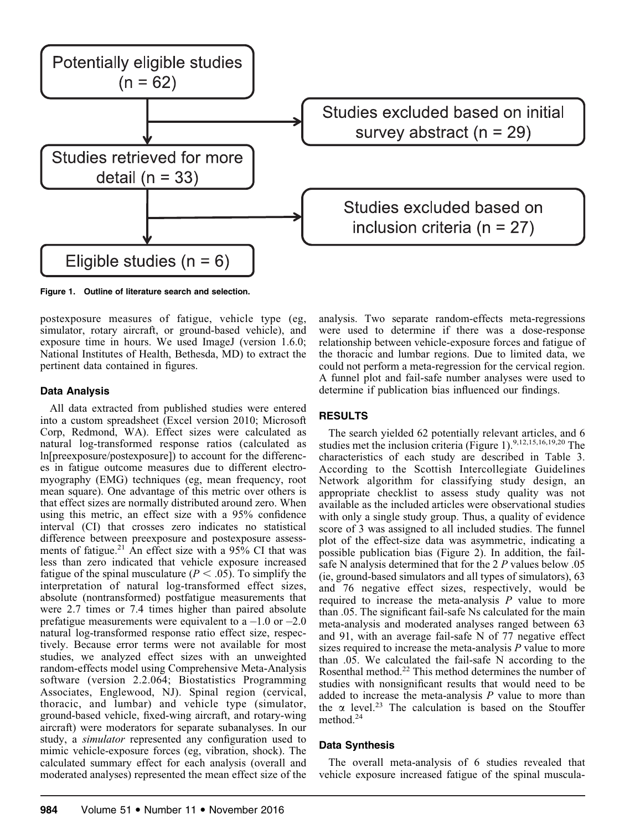

Figure 1. Outline of literature search and selection.

postexposure measures of fatigue, vehicle type (eg, simulator, rotary aircraft, or ground-based vehicle), and exposure time in hours. We used ImageJ (version 1.6.0; National Institutes of Health, Bethesda, MD) to extract the pertinent data contained in figures.

# Data Analysis

All data extracted from published studies were entered into a custom spreadsheet (Excel version 2010; Microsoft Corp, Redmond, WA). Effect sizes were calculated as natural log-transformed response ratios (calculated as ln[preexposure/postexposure]) to account for the differences in fatigue outcome measures due to different electromyography (EMG) techniques (eg, mean frequency, root mean square). One advantage of this metric over others is that effect sizes are normally distributed around zero. When using this metric, an effect size with a 95% confidence interval (CI) that crosses zero indicates no statistical difference between preexposure and postexposure assessments of fatigue.<sup>21</sup> An effect size with a  $95\%$  CI that was less than zero indicated that vehicle exposure increased fatigue of the spinal musculature ( $P < .05$ ). To simplify the interpretation of natural log-transformed effect sizes, absolute (nontransformed) postfatigue measurements that were 2.7 times or 7.4 times higher than paired absolute prefatigue measurements were equivalent to a  $-1.0$  or  $-2.0$ natural log-transformed response ratio effect size, respectively. Because error terms were not available for most studies, we analyzed effect sizes with an unweighted random-effects model using Comprehensive Meta-Analysis software (version 2.2.064; Biostatistics Programming Associates, Englewood, NJ). Spinal region (cervical, thoracic, and lumbar) and vehicle type (simulator, ground-based vehicle, fixed-wing aircraft, and rotary-wing aircraft) were moderators for separate subanalyses. In our study, a simulator represented any configuration used to mimic vehicle-exposure forces (eg, vibration, shock). The calculated summary effect for each analysis (overall and moderated analyses) represented the mean effect size of the analysis. Two separate random-effects meta-regressions were used to determine if there was a dose-response relationship between vehicle-exposure forces and fatigue of the thoracic and lumbar regions. Due to limited data, we could not perform a meta-regression for the cervical region. A funnel plot and fail-safe number analyses were used to determine if publication bias influenced our findings.

# RESULTS

The search yielded 62 potentially relevant articles, and 6 studies met the inclusion criteria (Figure 1).<sup>9,12,15,16,19,20</sup> The characteristics of each study are described in Table 3. According to the Scottish Intercollegiate Guidelines Network algorithm for classifying study design, an appropriate checklist to assess study quality was not available as the included articles were observational studies with only a single study group. Thus, a quality of evidence score of 3 was assigned to all included studies. The funnel plot of the effect-size data was asymmetric, indicating a possible publication bias (Figure 2). In addition, the failsafe N analysis determined that for the 2 P values below .05 (ie, ground-based simulators and all types of simulators), 63 and 76 negative effect sizes, respectively, would be required to increase the meta-analysis  $P$  value to more than .05. The significant fail-safe Ns calculated for the main meta-analysis and moderated analyses ranged between 63 and 91, with an average fail-safe N of 77 negative effect sizes required to increase the meta-analysis  $P$  value to more than .05. We calculated the fail-safe N according to the Rosenthal method.22 This method determines the number of studies with nonsignificant results that would need to be added to increase the meta-analysis  $P$  value to more than the  $\alpha$  level.<sup>23</sup> The calculation is based on the Stouffer method.24

# Data Synthesis

The overall meta-analysis of 6 studies revealed that vehicle exposure increased fatigue of the spinal muscula-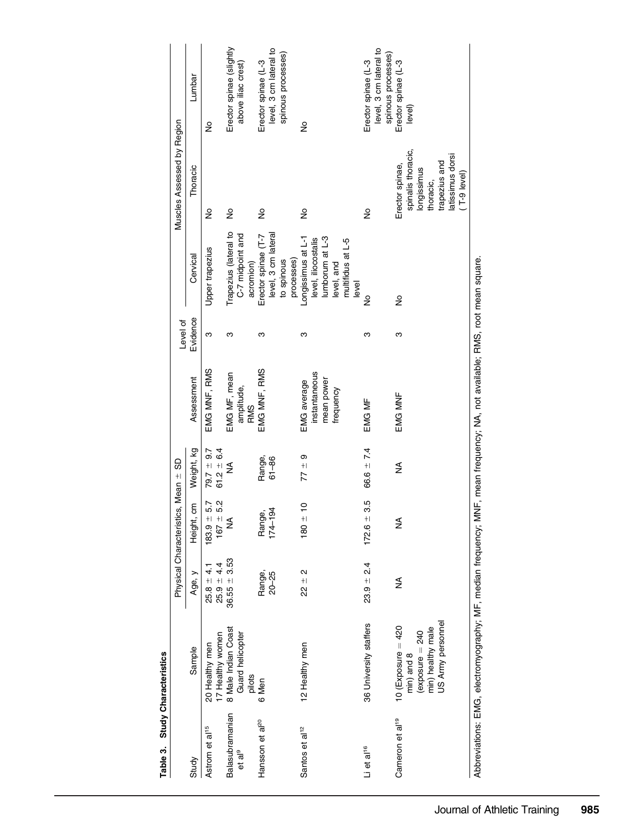| î |
|---|

|                                       |                                                                                                                            |                                 | Physical Characteristics, Mean ± SD           |                                  |                                                         | Level of |                                                                                                          | Muscles Assessed by Region                                                                                                      |                                                                     |
|---------------------------------------|----------------------------------------------------------------------------------------------------------------------------|---------------------------------|-----------------------------------------------|----------------------------------|---------------------------------------------------------|----------|----------------------------------------------------------------------------------------------------------|---------------------------------------------------------------------------------------------------------------------------------|---------------------------------------------------------------------|
| Study                                 | Sample                                                                                                                     | Age, y                          | ξ<br>Height,                                  | Weight, kg                       | Assessment                                              | Evidence | Cervical                                                                                                 | Thoracic                                                                                                                        | Lumbar                                                              |
| Astrom et al <sup>15</sup>            | 17 Healthy women<br>20 Healthy men                                                                                         | $25.8 \pm 4.1$<br>$25.9 \pm 4.$ | $167 = 5.2$<br>$183.9 = 5.7$                  | $79.7 \pm 9.7$<br>61.2 $\pm$ 6.4 | EMG MNF, RMS                                            | ო        | Upper trapezius                                                                                          | ş                                                                                                                               | ş                                                                   |
| Balasubramanian<br>et al <sup>9</sup> | 8 Male Indian Coast<br>Guard helicopter<br>pilots                                                                          | $36.55 + 3.53$                  | ≨                                             | ≸                                | EMG MF, mean<br>amplitude,<br><b>RMS</b>                | ო        | Trapezius (lateral to<br>C-7 midpoint and<br>acromion)                                                   | ž                                                                                                                               | Erector spinae (slightly<br>above iliac crest)                      |
| Hansson et al <sup>20</sup>           | 6 Men                                                                                                                      | Range,<br>$20 - 25$             | $\overline{a}$<br>ر<br>ف<br>Rang<br>$174 - 1$ | Range,<br>$61 - 86$              | EMG MNF, RMS                                            | ო        | level, 3 cm lateral<br>Erector spinae (T-7<br>processes)<br>to spinous                                   | ş                                                                                                                               | level, 3 cm lateral to<br>spinous processes)<br>Erector spinae (L-3 |
| Santos et al <sup>12</sup>            | 12 Healthy men                                                                                                             | $22 + 2$                        | $180 \pm 10$                                  | $77 \pm 9$                       | instantaneous<br>mean power<br>EMG average<br>frequency | ო        | Longissimus at L-1<br>lumborum at L-3<br>level, iliocostalis<br>multifidus at L-5<br>level, and<br>level | ş                                                                                                                               | ž                                                                   |
| Li et al <sup>16</sup>                | 36 University staffers                                                                                                     | $23.9 = 2.4$                    | $172.6 \pm 3.5$                               | 66.6 $\pm$ 7.4                   | EMG MF                                                  | ო        | ş                                                                                                        | ž                                                                                                                               | level, 3 cm lateral to<br>spinous processes)<br>Erector spinae (L-3 |
| Cameron et al <sup>19</sup>           | US Army personnel<br>10 (Exposure $=$ 420<br>min) healthy male<br>(exposure $= 240$<br>min) and 8                          | ≸                               | ≨                                             | ₹                                | EMG MNF                                                 | ო        | ş                                                                                                        | spinalis thoracic,<br>latissimus dorsi<br>trapezius and<br>Erector spinae,<br>longissimus<br>$(7-9 \text{ level})$<br>thoracic, | Erector spinae (L-3<br>level)                                       |
|                                       | Abbreviations: EMG, electromvography: MF, median frequency: MNF, mean frequency: NA, not available: RMS, root mean square. |                                 |                                               |                                  |                                                         |          |                                                                                                          |                                                                                                                                 |                                                                     |

Abbreviations: EMG, electromyography; MF, median frequency; MNF, mean frequency; NA, not available; RMS, root mean square.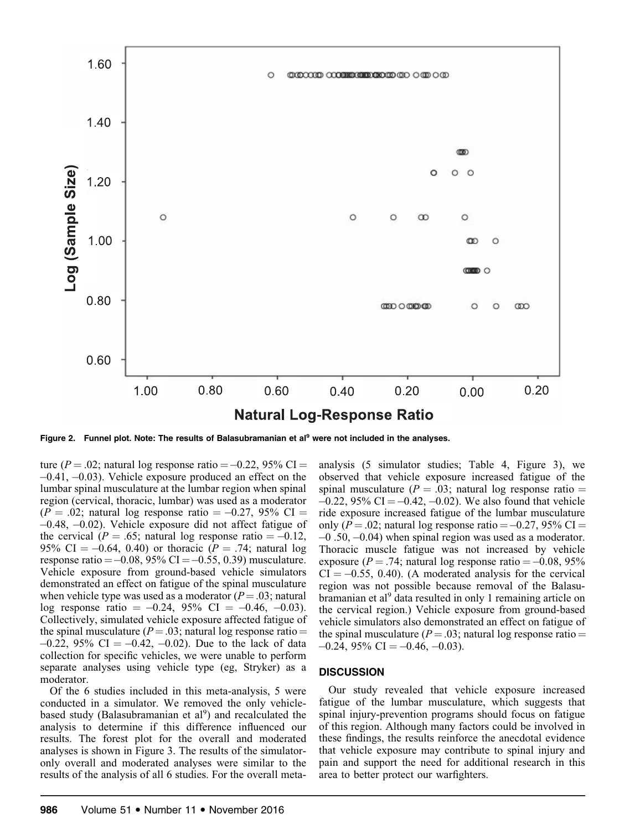

Figure 2. Funnel plot. Note: The results of Balasubramanian et al<sup>9</sup> were not included in the analyses.

ture ( $P = .02$ ; natural log response ratio  $= -0.22$ , 95% CI  $=$ -0.41, -0.03). Vehicle exposure produced an effect on the lumbar spinal musculature at the lumbar region when spinal region (cervical, thoracic, lumbar) was used as a moderator  $(P = .02;$  natural log response ratio  $= -0.27,95\%$  CI  $=$ -0.48, -0.02). Vehicle exposure did not affect fatigue of the cervical ( $P = .65$ ; natural log response ratio  $= -0.12$ , 95% CI =  $-0.64$ , 0.40) or thoracic (*P* = .74; natural log response ratio =  $-0.08$ , 95% CI =  $-0.55$ , 0.39) musculature. Vehicle exposure from ground-based vehicle simulators demonstrated an effect on fatigue of the spinal musculature when vehicle type was used as a moderator  $(P=.03;$  natural log response ratio  $= -0.24, 95\% \text{ CI} = -0.46, -0.03$ . Collectively, simulated vehicle exposure affected fatigue of the spinal musculature ( $P = .03$ ; natural log response ratio =  $-0.22$ , 95% CI =  $-0.42$ ,  $-0.02$ ). Due to the lack of data collection for specific vehicles, we were unable to perform separate analyses using vehicle type (eg, Stryker) as a moderator.

Of the 6 studies included in this meta-analysis, 5 were conducted in a simulator. We removed the only vehiclebased study (Balasubramanian et al<sup>9</sup>) and recalculated the analysis to determine if this difference influenced our results. The forest plot for the overall and moderated analyses is shown in Figure 3. The results of the simulatoronly overall and moderated analyses were similar to the results of the analysis of all 6 studies. For the overall metaanalysis (5 simulator studies; Table 4, Figure 3), we observed that vehicle exposure increased fatigue of the spinal musculature ( $P = .03$ ; natural log response ratio  $=$  $-0.22$ , 95% CI =  $-0.42$ ,  $-0.02$ ). We also found that vehicle ride exposure increased fatigue of the lumbar musculature only ( $P = .02$ ; natural log response ratio  $= -0.27$ , 95% CI  $=$ -0 .50, -0.04) when spinal region was used as a moderator. Thoracic muscle fatigue was not increased by vehicle exposure ( $P = .74$ ; natural log response ratio  $= -0.08, 95\%$  $CI = -0.55, 0.40$ . (A moderated analysis for the cervical region was not possible because removal of the Balasubramanian et al<sup>9</sup> data resulted in only 1 remaining article on the cervical region.) Vehicle exposure from ground-based vehicle simulators also demonstrated an effect on fatigue of the spinal musculature ( $P = .03$ ; natural log response ratio =  $-0.24$ , 95% CI =  $-0.46$ ,  $-0.03$ ).

#### **DISCUSSION**

Our study revealed that vehicle exposure increased fatigue of the lumbar musculature, which suggests that spinal injury-prevention programs should focus on fatigue of this region. Although many factors could be involved in these findings, the results reinforce the anecdotal evidence that vehicle exposure may contribute to spinal injury and pain and support the need for additional research in this area to better protect our warfighters.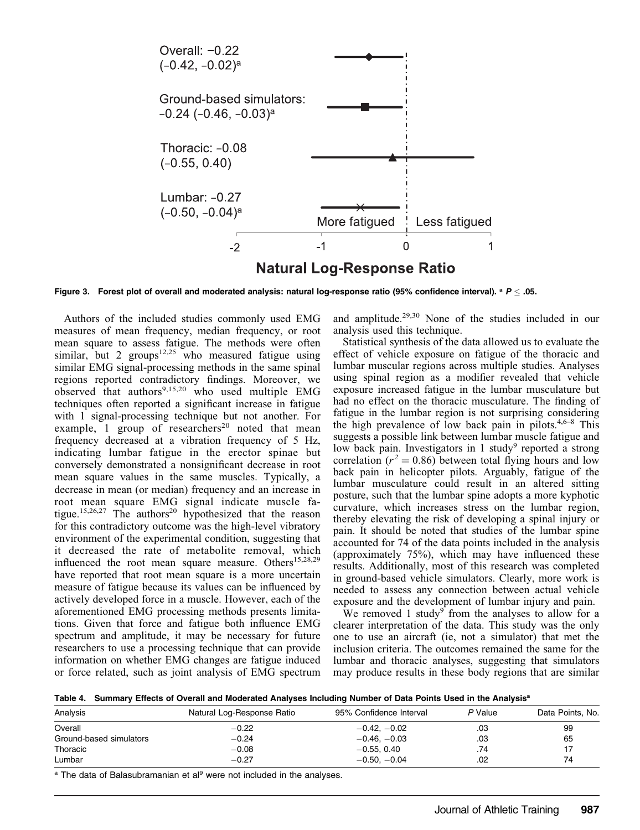

Figure 3. Forest plot of overall and moderated analysis: natural log-response ratio (95% confidence interval).  $a \neq 0.05$ .

Authors of the included studies commonly used EMG measures of mean frequency, median frequency, or root mean square to assess fatigue. The methods were often similar, but 2 groups $12.25$  who measured fatigue using similar EMG signal-processing methods in the same spinal regions reported contradictory findings. Moreover, we observed that authors<sup>9,15,20</sup> who used multiple EMG techniques often reported a significant increase in fatigue with 1 signal-processing technique but not another. For example,  $\overline{1}$  group of researchers<sup>20</sup> noted that mean frequency decreased at a vibration frequency of 5 Hz, indicating lumbar fatigue in the erector spinae but conversely demonstrated a nonsignificant decrease in root mean square values in the same muscles. Typically, a decrease in mean (or median) frequency and an increase in root mean square EMG signal indicate muscle fatigue.<sup>15,26,27</sup> The authors<sup>20</sup> hypothesized that the reason for this contradictory outcome was the high-level vibratory environment of the experimental condition, suggesting that it decreased the rate of metabolite removal, which influenced the root mean square measure. Others<sup>15,28,29</sup> have reported that root mean square is a more uncertain measure of fatigue because its values can be influenced by actively developed force in a muscle. However, each of the aforementioned EMG processing methods presents limitations. Given that force and fatigue both influence EMG spectrum and amplitude, it may be necessary for future researchers to use a processing technique that can provide information on whether EMG changes are fatigue induced or force related, such as joint analysis of EMG spectrum and amplitude.29,30 None of the studies included in our analysis used this technique.

Statistical synthesis of the data allowed us to evaluate the effect of vehicle exposure on fatigue of the thoracic and lumbar muscular regions across multiple studies. Analyses using spinal region as a modifier revealed that vehicle exposure increased fatigue in the lumbar musculature but had no effect on the thoracic musculature. The finding of fatigue in the lumbar region is not surprising considering the high prevalence of low back pain in pilots.<sup>4,6–8</sup> This suggests a possible link between lumbar muscle fatigue and low back pain. Investigators in 1 study<sup>9</sup> reported a strong correlation ( $r^2 = 0.86$ ) between total flying hours and low back pain in helicopter pilots. Arguably, fatigue of the lumbar musculature could result in an altered sitting posture, such that the lumbar spine adopts a more kyphotic curvature, which increases stress on the lumbar region, thereby elevating the risk of developing a spinal injury or pain. It should be noted that studies of the lumbar spine accounted for 74 of the data points included in the analysis (approximately 75%), which may have influenced these results. Additionally, most of this research was completed in ground-based vehicle simulators. Clearly, more work is needed to assess any connection between actual vehicle exposure and the development of lumbar injury and pain.

We removed 1 study<sup>9</sup> from the analyses to allow for a clearer interpretation of the data. This study was the only one to use an aircraft (ie, not a simulator) that met the inclusion criteria. The outcomes remained the same for the lumbar and thoracic analyses, suggesting that simulators may produce results in these body regions that are similar

Table 4. Summary Effects of Overall and Moderated Analyses Including Number of Data Points Used in the Analysis<sup>a</sup>

| Analysis                | Natural Log-Response Ratio | 95% Confidence Interval | P Value | Data Points, No. |
|-------------------------|----------------------------|-------------------------|---------|------------------|
| Overall                 | $-0.22$                    | $-0.42, -0.02$          | .03     | 99               |
| Ground-based simulators | $-0.24$                    | $-0.46, -0.03$          | .03     | 65               |
| Thoracic                | $-0.08$                    | $-0.55.$ $0.40$         | .74     | 17               |
| Lumbar                  | $-0.27$                    | $-0.50, -0.04$          | .02     | 74               |

<sup>a</sup> The data of Balasubramanian et al<sup>9</sup> were not included in the analyses.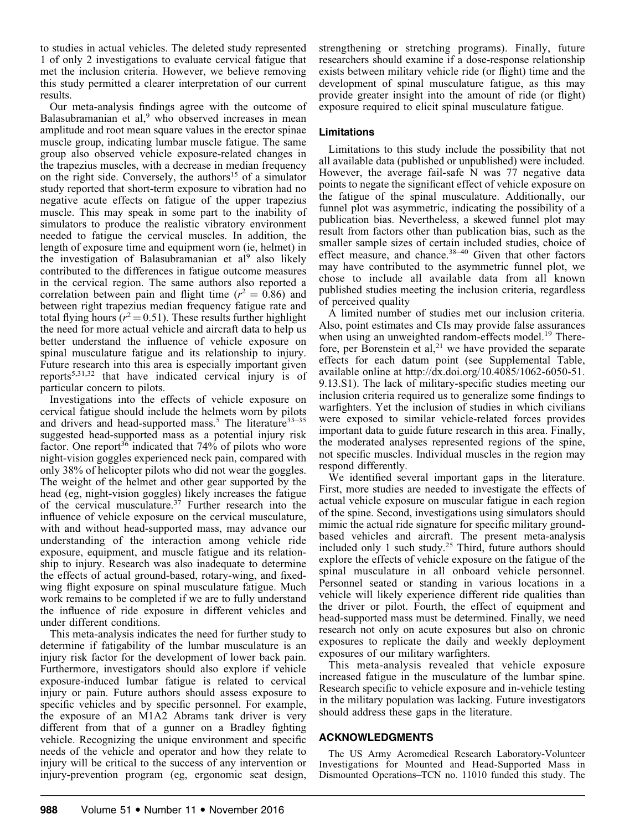to studies in actual vehicles. The deleted study represented 1 of only 2 investigations to evaluate cervical fatigue that met the inclusion criteria. However, we believe removing this study permitted a clearer interpretation of our current results.

Our meta-analysis findings agree with the outcome of Balasubramanian et al, $9$  who observed increases in mean amplitude and root mean square values in the erector spinae muscle group, indicating lumbar muscle fatigue. The same group also observed vehicle exposure-related changes in the trapezius muscles, with a decrease in median frequency on the right side. Conversely, the authors<sup>15</sup> of a simulator study reported that short-term exposure to vibration had no negative acute effects on fatigue of the upper trapezius muscle. This may speak in some part to the inability of simulators to produce the realistic vibratory environment needed to fatigue the cervical muscles. In addition, the length of exposure time and equipment worn (ie, helmet) in the investigation of Balasubramanian et al<sup>9</sup> also likely contributed to the differences in fatigue outcome measures in the cervical region. The same authors also reported a correlation between pain and flight time ( $r^2 = 0.86$ ) and between right trapezius median frequency fatigue rate and total flying hours ( $r^2$  = 0.51). These results further highlight the need for more actual vehicle and aircraft data to help us better understand the influence of vehicle exposure on spinal musculature fatigue and its relationship to injury. Future research into this area is especially important given reports<sup>5,31,32</sup> that have indicated cervical injury is of particular concern to pilots.

Investigations into the effects of vehicle exposure on cervical fatigue should include the helmets worn by pilots and drivers and head-supported mass.<sup>5</sup> The literature<sup>33–35</sup> suggested head-supported mass as a potential injury risk factor. One report<sup>36</sup> indicated that  $74%$  of pilots who wore night-vision goggles experienced neck pain, compared with only 38% of helicopter pilots who did not wear the goggles. The weight of the helmet and other gear supported by the head (eg, night-vision goggles) likely increases the fatigue of the cervical musculature.<sup>37</sup> Further research into the influence of vehicle exposure on the cervical musculature, with and without head-supported mass, may advance our understanding of the interaction among vehicle ride exposure, equipment, and muscle fatigue and its relationship to injury. Research was also inadequate to determine the effects of actual ground-based, rotary-wing, and fixedwing flight exposure on spinal musculature fatigue. Much work remains to be completed if we are to fully understand the influence of ride exposure in different vehicles and under different conditions.

This meta-analysis indicates the need for further study to determine if fatigability of the lumbar musculature is an injury risk factor for the development of lower back pain. Furthermore, investigators should also explore if vehicle exposure-induced lumbar fatigue is related to cervical injury or pain. Future authors should assess exposure to specific vehicles and by specific personnel. For example, the exposure of an M1A2 Abrams tank driver is very different from that of a gunner on a Bradley fighting vehicle. Recognizing the unique environment and specific needs of the vehicle and operator and how they relate to injury will be critical to the success of any intervention or injury-prevention program (eg, ergonomic seat design,

strengthening or stretching programs). Finally, future researchers should examine if a dose-response relationship exists between military vehicle ride (or flight) time and the development of spinal musculature fatigue, as this may provide greater insight into the amount of ride (or flight) exposure required to elicit spinal musculature fatigue.

### Limitations

Limitations to this study include the possibility that not all available data (published or unpublished) were included. However, the average fail-safe N was 77 negative data points to negate the significant effect of vehicle exposure on the fatigue of the spinal musculature. Additionally, our funnel plot was asymmetric, indicating the possibility of a publication bias. Nevertheless, a skewed funnel plot may result from factors other than publication bias, such as the smaller sample sizes of certain included studies, choice of effect measure, and chance.<sup>38–40</sup> Given that other factors may have contributed to the asymmetric funnel plot, we chose to include all available data from all known published studies meeting the inclusion criteria, regardless of perceived quality

A limited number of studies met our inclusion criteria. Also, point estimates and CIs may provide false assurances when using an unweighted random-effects model.<sup>19</sup> Therefore, per Borenstein et al,<sup>21</sup> we have provided the separate effects for each datum point (see Supplemental Table, available online at http://dx.doi.org/10.4085/1062-6050-51. 9.13.S1). The lack of military-specific studies meeting our inclusion criteria required us to generalize some findings to warfighters. Yet the inclusion of studies in which civilians were exposed to similar vehicle-related forces provides important data to guide future research in this area. Finally, the moderated analyses represented regions of the spine, not specific muscles. Individual muscles in the region may respond differently.

We identified several important gaps in the literature. First, more studies are needed to investigate the effects of actual vehicle exposure on muscular fatigue in each region of the spine. Second, investigations using simulators should mimic the actual ride signature for specific military groundbased vehicles and aircraft. The present meta-analysis included only 1 such study.<sup>25</sup> Third, future authors should explore the effects of vehicle exposure on the fatigue of the spinal musculature in all onboard vehicle personnel. Personnel seated or standing in various locations in a vehicle will likely experience different ride qualities than the driver or pilot. Fourth, the effect of equipment and head-supported mass must be determined. Finally, we need research not only on acute exposures but also on chronic exposures to replicate the daily and weekly deployment exposures of our military warfighters.

This meta-analysis revealed that vehicle exposure increased fatigue in the musculature of the lumbar spine. Research specific to vehicle exposure and in-vehicle testing in the military population was lacking. Future investigators should address these gaps in the literature.

#### ACKNOWLEDGMENTS

The US Army Aeromedical Research Laboratory-Volunteer Investigations for Mounted and Head-Supported Mass in Dismounted Operations–TCN no. 11010 funded this study. The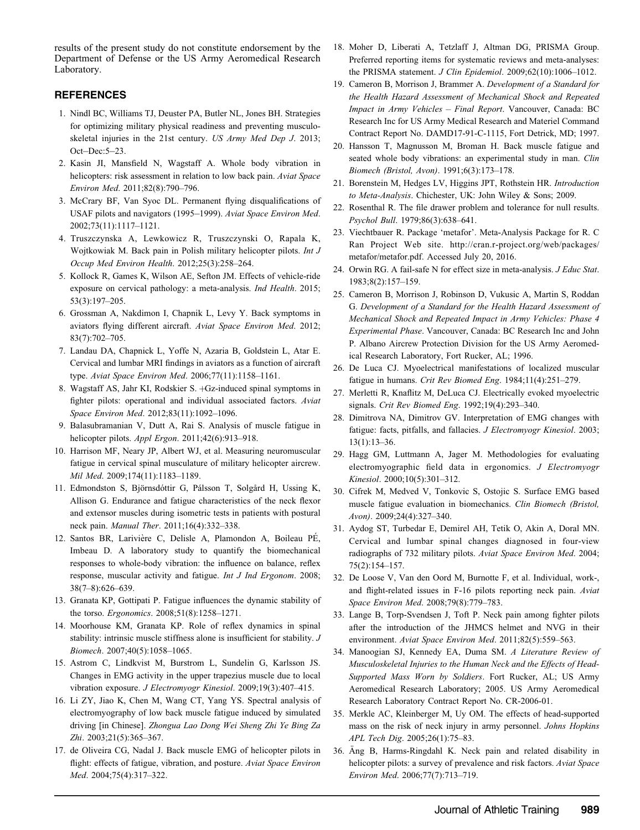results of the present study do not constitute endorsement by the Department of Defense or the US Army Aeromedical Research Laboratory.

### REFERENCES

- 1. Nindl BC, Williams TJ, Deuster PA, Butler NL, Jones BH. Strategies for optimizing military physical readiness and preventing musculoskeletal injuries in the 21st century. US Army Med Dep J. 2013; Oct-Dec:5-23.
- 2. Kasin JI, Mansfield N, Wagstaff A. Whole body vibration in helicopters: risk assessment in relation to low back pain. Aviat Space Environ Med. 2011;82(8):790–796.
- 3. McCrary BF, Van Syoc DL. Permanent flying disqualifications of USAF pilots and navigators (1995-1999). Aviat Space Environ Med. 2002;73(11):1117–1121.
- 4. Truszczynska A, Lewkowicz R, Truszczynski O, Rapala K, Wojtkowiak M. Back pain in Polish military helicopter pilots. Int J Occup Med Environ Health. 2012;25(3):258–264.
- 5. Kollock R, Games K, Wilson AE, Sefton JM. Effects of vehicle-ride exposure on cervical pathology: a meta-analysis. Ind Health. 2015; 53(3):197–205.
- 6. Grossman A, Nakdimon I, Chapnik L, Levy Y. Back symptoms in aviators flying different aircraft. Aviat Space Environ Med. 2012; 83(7):702–705.
- 7. Landau DA, Chapnick L, Yoffe N, Azaria B, Goldstein L, Atar E. Cervical and lumbar MRI findings in aviators as a function of aircraft type. Aviat Space Environ Med. 2006;77(11):1158–1161.
- 8. Wagstaff AS, Jahr KI, Rodskier S. +Gz-induced spinal symptoms in fighter pilots: operational and individual associated factors. Aviat Space Environ Med. 2012;83(11):1092–1096.
- 9. Balasubramanian V, Dutt A, Rai S. Analysis of muscle fatigue in helicopter pilots. Appl Ergon. 2011;42(6):913-918.
- 10. Harrison MF, Neary JP, Albert WJ, et al. Measuring neuromuscular fatigue in cervical spinal musculature of military helicopter aircrew. Mil Med. 2009;174(11):1183–1189.
- 11. Edmondston S, Björnsdóttir G, Pálsson T, Solgård H, Ussing K, Allison G. Endurance and fatigue characteristics of the neck flexor and extensor muscles during isometric tests in patients with postural neck pain. Manual Ther. 2011;16(4):332–338.
- 12. Santos BR, Larivière C, Delisle A, Plamondon A, Boileau PÉ, Imbeau D. A laboratory study to quantify the biomechanical responses to whole-body vibration: the influence on balance, reflex response, muscular activity and fatigue. Int J Ind Ergonom. 2008; 38(7–8):626–639.
- 13. Granata KP, Gottipati P. Fatigue influences the dynamic stability of the torso. Ergonomics. 2008;51(8):1258–1271.
- 14. Moorhouse KM, Granata KP. Role of reflex dynamics in spinal stability: intrinsic muscle stiffness alone is insufficient for stability. J Biomech. 2007;40(5):1058–1065.
- 15. Astrom C, Lindkvist M, Burstrom L, Sundelin G, Karlsson JS. Changes in EMG activity in the upper trapezius muscle due to local vibration exposure. J Electromyogr Kinesiol. 2009;19(3):407–415.
- 16. Li ZY, Jiao K, Chen M, Wang CT, Yang YS. Spectral analysis of electromyography of low back muscle fatigue induced by simulated driving [in Chinese]. Zhongua Lao Dong Wei Sheng Zhi Ye Bing Za Zhi. 2003;21(5):365–367.
- 17. de Oliveira CG, Nadal J. Back muscle EMG of helicopter pilots in flight: effects of fatigue, vibration, and posture. Aviat Space Environ Med. 2004;75(4):317–322.
- 18. Moher D, Liberati A, Tetzlaff J, Altman DG, PRISMA Group. Preferred reporting items for systematic reviews and meta-analyses: the PRISMA statement. J Clin Epidemiol. 2009;62(10):1006–1012.
- 19. Cameron B, Morrison J, Brammer A. Development of a Standard for the Health Hazard Assessment of Mechanical Shock and Repeated Impact in Army Vehicles – Final Report. Vancouver, Canada: BC Research Inc for US Army Medical Research and Materiel Command Contract Report No. DAMD17-91-C-1115, Fort Detrick, MD; 1997.
- 20. Hansson T, Magnusson M, Broman H. Back muscle fatigue and seated whole body vibrations: an experimental study in man. Clin Biomech (Bristol, Avon). 1991;6(3):173–178.
- 21. Borenstein M, Hedges LV, Higgins JPT, Rothstein HR. Introduction to Meta-Analysis. Chichester, UK: John Wiley & Sons; 2009.
- 22. Rosenthal R. The file drawer problem and tolerance for null results. Psychol Bull. 1979;86(3):638–641.
- 23. Viechtbauer R. Package 'metafor'. Meta-Analysis Package for R. C Ran Project Web site. http://cran.r-project.org/web/packages/ metafor/metafor.pdf. Accessed July 20, 2016.
- 24. Orwin RG. A fail-safe N for effect size in meta-analysis. J Educ Stat. 1983;8(2):157–159.
- 25. Cameron B, Morrison J, Robinson D, Vukusic A, Martin S, Roddan G. Development of a Standard for the Health Hazard Assessment of Mechanical Shock and Repeated Impact in Army Vehicles: Phase 4 Experimental Phase. Vancouver, Canada: BC Research Inc and John P. Albano Aircrew Protection Division for the US Army Aeromedical Research Laboratory, Fort Rucker, AL; 1996.
- 26. De Luca CJ. Myoelectrical manifestations of localized muscular fatigue in humans. Crit Rev Biomed Eng. 1984;11(4):251–279.
- 27. Merletti R, Knaflitz M, DeLuca CJ. Electrically evoked myoelectric signals. Crit Rev Biomed Eng. 1992;19(4):293–340.
- 28. Dimitrova NA, Dimitrov GV. Interpretation of EMG changes with fatigue: facts, pitfalls, and fallacies. J Electromyogr Kinesiol. 2003; 13(1):13–36.
- 29. Hagg GM, Luttmann A, Jager M. Methodologies for evaluating electromyographic field data in ergonomics. J Electromyogr Kinesiol. 2000;10(5):301–312.
- 30. Cifrek M, Medved V, Tonkovic S, Ostojic S. Surface EMG based muscle fatigue evaluation in biomechanics. Clin Biomech (Bristol, Avon). 2009;24(4):327–340.
- 31. Aydog ST, Turbedar E, Demirel AH, Tetik O, Akin A, Doral MN. Cervical and lumbar spinal changes diagnosed in four-view radiographs of 732 military pilots. Aviat Space Environ Med. 2004; 75(2):154–157.
- 32. De Loose V, Van den Oord M, Burnotte F, et al. Individual, work-, and flight-related issues in F-16 pilots reporting neck pain. Aviat Space Environ Med. 2008;79(8):779–783.
- 33. Lange B, Torp-Svendsen J, Toft P. Neck pain among fighter pilots after the introduction of the JHMCS helmet and NVG in their environment. Aviat Space Environ Med. 2011;82(5):559–563.
- 34. Manoogian SJ, Kennedy EA, Duma SM. A Literature Review of Musculoskeletal Injuries to the Human Neck and the Effects of Head-Supported Mass Worn by Soldiers. Fort Rucker, AL; US Army Aeromedical Research Laboratory; 2005. US Army Aeromedical Research Laboratory Contract Report No. CR-2006-01.
- 35. Merkle AC, Kleinberger M, Uy OM. The effects of head-supported mass on the risk of neck injury in army personnel. Johns Hopkins APL Tech Dig. 2005;26(1):75–83.
- 36. Äng B, Harms-Ringdahl K. Neck pain and related disability in helicopter pilots: a survey of prevalence and risk factors. Aviat Space Environ Med. 2006;77(7):713–719.